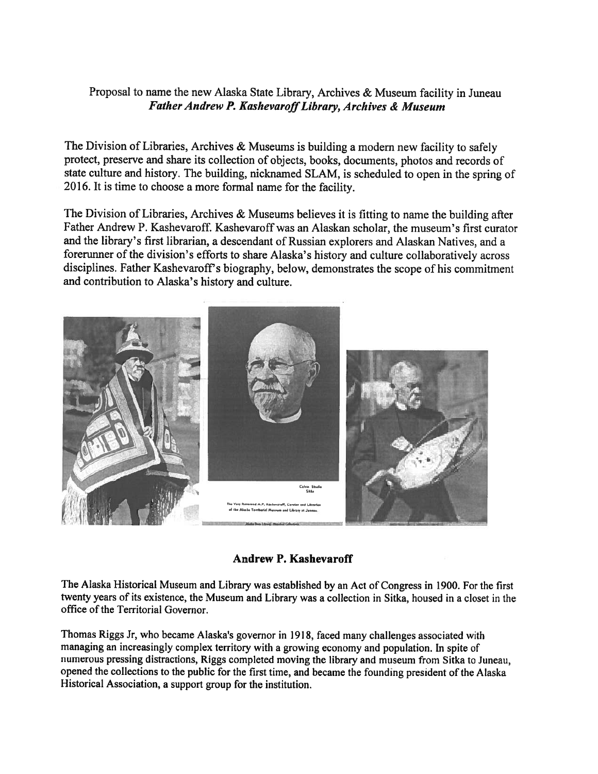## Proposal to name the new Alaska State Library, Archives & Museum facility in Juneau Father Andrew P. Kashevaroff Library, Archives & Museum

The Division of Libraries, Archives & Museums is building a modern new facility to safely protect, preserve and share its collection of objects, hooks, documents, <sup>p</sup>hotos and records of state culture and history. The building, nicknamed SLAM, is scheduled to open in the spring of 2016. It is time to choose <sup>a</sup> more formal name for the facility.

The Division of Libraries, Archives & Museums believes it is fitting to name the building after Father Andrew P. Kashevaroff. Kashevaroff was an Alaskan scholar, the museum's first curator and the library's first librarian, <sup>a</sup> descendant of Russian explorers and Alaskan Natives, and <sup>a</sup> forerunner of the division's efforts to share Alaska's history and culture collaboratively across disciplines. Father Kashevaroff's biography, below, demonstrates the scope of his commitment and contribution to Alaska's history and culture.



Andrew P. Kashevaroff

The Alaska Historical Museum and Library was established by an Act of Congress in 1900. For the first twenty years of its existence, the Museum and Library was <sup>a</sup> collection in Sitka, housed in <sup>a</sup> closet in the office of the Territorial Governor.

Thomas Riggs Jr, who became Alaska's governor in 1918, faced many challenges associated with managing an increasingly complex territory with a growing economy and population. In spite of numerous pressing distractions, Riggs completed moving the library and museum from Sitka to Juneau, opene<sup>d</sup> the collections to the public for the first time, and became the founding president of the Alaska Historical Association, <sup>a</sup> suppor<sup>t</sup> group for the institution.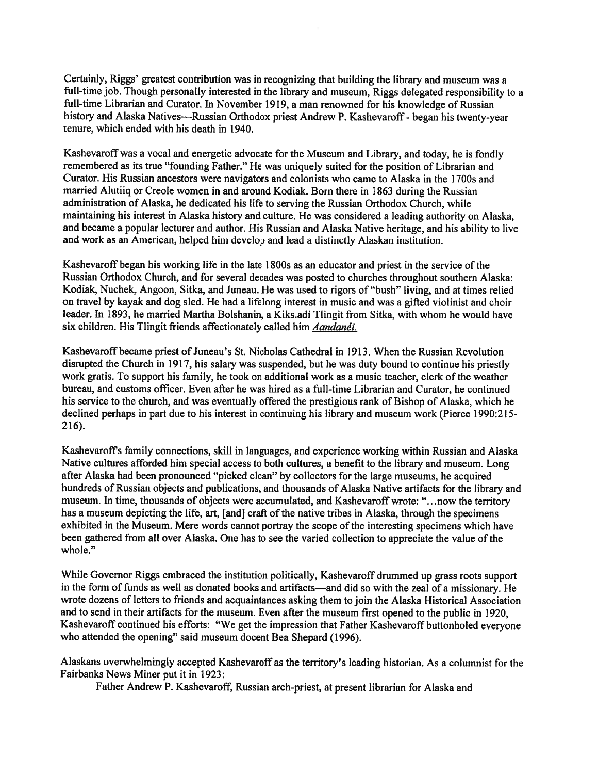Certainly, Riggs' greatest contribution was in recognizing that building the library and museum was <sup>a</sup> full-time job. Though personally interested in the library and museum, Riggs delegated responsibility to <sup>a</sup> full-time Librarian and Curator. In November 1919, <sup>a</sup> man renowned for his knowledge of Russian history and Alaska Natives—Russian Orthodox priest Andrew P. Kashevaroff- began his twenty-year tenure, which ended with his death in 1940.

Kashevaroffwas <sup>a</sup> vocal and energetic advocate for the Museum and Library, and today, he is fondly remembered as its true "founding Father." He was uniquely suited for the position of Librarian and Curator. His Russian ancestors were navigators and colonists who came to Alaska in the <sup>I</sup> 700s and married Alutiiq or Creole women in and around Kodiak. Born there in 1863 during the Russian administration of Alaska, he dedicated his life to serving the Russian Orthodox Church, while maintaining his interest in Alaska history and culture. He was considered <sup>a</sup> leading authority on Alaska, and became <sup>a</sup> popular lecturer and author. His Russian and Alaska Native heritage, and his ability to live and work as an American, helped him develop and lead <sup>a</sup> distinctly Alaskan institution.

Kashevaroff began his working life in the late 1800s as an educator and priest in the service of the Russian Orthodox Church, and for several decades was posted to churches throughout southern Alaska: Kodiak, Nuchek, Angoon, Sitka, and Juneau. He was used to rigors of "bush" living, and at times relied on travel by kayak and dog sled. He had <sup>a</sup> lifelong interest in music and was <sup>a</sup> gifted violinist and choir leader. In 1893, he married Martha Bolshanin, a Kiks.adi Tlingit from Sitka, with whom he would have six children. His Tlingit friends affectionately called him Aandanéi.

Kashevaroff became priest of Juneau's St. Nicholas Cathedral in 1913. When the Russian Revolution disrupted the Church in 1917, his salary was suspended, but he was duty bound to continue his priestly work gratis. To suppor<sup>t</sup> his family, he took on additional work as <sup>a</sup> music teacher, clerk of the weather bureau, and customs officer. Even after he was hired as <sup>a</sup> full-time Librarian and Curator, he continued his service to the church, and was eventually offered the prestigious rank of Bishop of Alaska, which he declined perhaps in par<sup>t</sup> due to his interest in continuing his library and museum work (Pierce 1990:215- 216).

Kashevaroffs family connections, skill in languages, and experience working within Russian and Alaska Native cultures afforded him special access to both cultures, <sup>a</sup> benefit to the library and museum. Long after Alaska had been pronounced "picked clean" by collectors for the large museums, he acquired hundreds of Russian objects and publications, and thousands of Alaska Native artifacts for the library and museum. In time, thousands of objects were accumulated, and Kashevaroff wrote: "...now the territory has a museum depicting the life, art, [and] craft of the native tribes in Alaska, through the specimens exhibited in the Museum. Mere words cannot portray the scope of the interesting specimens which have been gathered from all over Alaska. One has to see the varied collection to appreciate the value of the whole."

While Governor Riggs embraced the institution politically, Kashevaroff drummed up grass roots support in the form of funds as well as donated books and artifacts—and did so with the zeal of <sup>a</sup> missionary. He wrote dozens of letters to friends and acquaintances asking them to join the Alaska Historical Association and to send in their artifacts for the museum. Even after the museum first opene<sup>d</sup> to the public in 1920, Kashevaroff continued his efforts: "We ge<sup>t</sup> the impression that Father Kashevaroff buttonholed everyone who attended the opening" said museum docent Bea Shepard (1996).

Alaskans overwhelmingly accepted Kashevaroff as the territory's leading historian. As <sup>a</sup> columnist for the Fairbanks News Miner pu<sup>t</sup> it in 1923:

Father Andrew P. Kashevaroff, Russian arch-priest, at present librarian for Alaska and